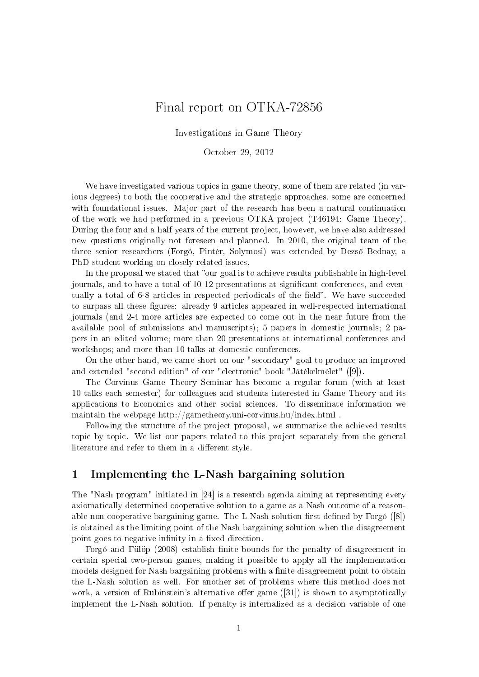# Final report on OTKA-72856

#### Investigations in Game Theory

#### October 29, 2012

We have investigated various topics in game theory, some of them are related (in various degrees) to both the cooperative and the strategic approaches, some are concerned with foundational issues. Major part of the research has been a natural continuation of the work we had performed in a previous OTKA project (T46194: Game Theory). During the four and a half years of the current project, however, we have also addressed new questions originally not foreseen and planned. In 2010, the original team of the three senior researchers (Forgó, Pintér, Solymosi) was extended by Dezső Bednay, a PhD student working on closely related issues.

In the proposal we stated that "our goal is to achieve results publishable in high-level journals, and to have a total of 10-12 presentations at significant conferences, and eventually a total of 6-8 articles in respected periodicals of the field". We have succeeded to surpass all these figures: already 9 articles appeared in well-respected international journals (and 2-4 more articles are expected to come out in the near future from the available pool of submissions and manuscripts); 5 papers in domestic journals; 2 papers in an edited volume; more than 20 presentations at international conferences and workshops; and more than 10 talks at domestic conferences.

On the other hand, we came short on our "secondary" goal to produce an improved and extended "second edition" of our "electronic" book "Játékelmélet" ([9]).

The Corvinus Game Theory Seminar has become a regular forum (with at least 10 talks each semester) for colleagues and students interested in Game Theory and its applications to Economics and other social sciences. To disseminate information we maintain the webpage http://gametheory.uni-corvinus.hu/index.html .

Following the structure of the project proposal, we summarize the achieved results topic by topic. We list our papers related to this project separately from the general literature and refer to them in a different style.

## 1 Implementing the L-Nash bargaining solution

The "Nash program" initiated in [24] is a research agenda aiming at representing every axiomatically determined cooperative solution to a game as a Nash outcome of a reasonable non-cooperative bargaining game. The L-Nash solution first defined by Forgó  $([8])$ is obtained as the limiting point of the Nash bargaining solution when the disagreement point goes to negative infinity in a fixed direction.

Forgó and Fülöp (2008) establish nite bounds for the penalty of disagreement in certain special two-person games, making it possible to apply all the implementation models designed for Nash bargaining problems with a finite disagreement point to obtain the L-Nash solution as well. For another set of problems where this method does not work, a version of Rubinstein's alternative offer game  $([31])$  is shown to asymptotically implement the L-Nash solution. If penalty is internalized as a decision variable of one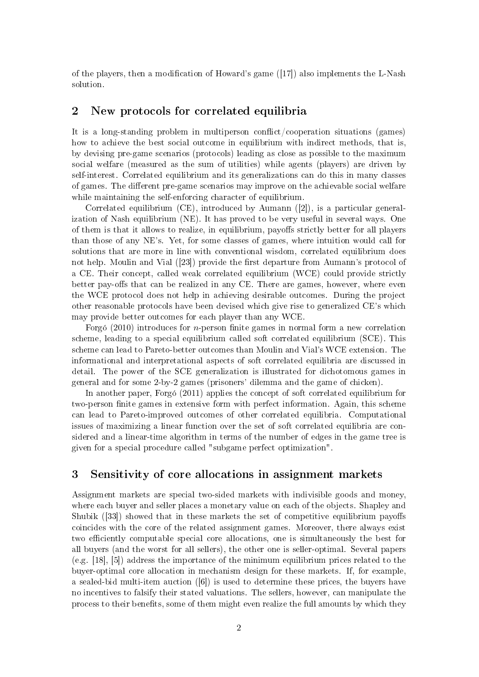of the players, then a modification of Howard's game  $([17])$  also implements the L-Nash solution.

## 2 New protocols for correlated equilibria

It is a long-standing problem in multiperson conflict/cooperation situations (games) how to achieve the best social outcome in equilibrium with indirect methods, that is, by devising pre-game scenarios (protocols) leading as close as possible to the maximum social welfare (measured as the sum of utilities) while agents (players) are driven by self-interest. Correlated equilibrium and its generalizations can do this in many classes of games. The different pre-game scenarios may improve on the achievable social welfare while maintaining the self-enforcing character of equilibrium.

Correlated equilibrium (CE), introduced by Aumann ([2]), is a particular generalization of Nash equilibrium (NE). It has proved to be very useful in several ways. One of them is that it allows to realize, in equilibrium, payoffs strictly better for all players than those of any NE's. Yet, for some classes of games, where intuition would call for solutions that are more in line with conventional wisdom, correlated equilibrium does not help. Moulin and Vial ([23]) provide the first departure from Aumann's protocol of a CE. Their concept, called weak correlated equilibrium (WCE) could provide strictly better pay-offs that can be realized in any CE. There are games, however, where even the WCE protocol does not help in achieving desirable outcomes. During the project other reasonable protocols have been devised which give rise to generalized CE's which may provide better outcomes for each player than any WCE.

Forgó (2010) introduces for  $n$ -person finite games in normal form a new correlation scheme, leading to a special equilibrium called soft correlated equilibrium (SCE). This scheme can lead to Pareto-better outcomes than Moulin and Vial's WCE extension. The informational and interpretational aspects of soft correlated equilibria are discussed in detail. The power of the SCE generalization is illustrated for dichotomous games in general and for some 2-by-2 games (prisoners' dilemma and the game of chicken).

In another paper, Forgó (2011) applies the concept of soft correlated equilibrium for two-person finite games in extensive form with perfect information. Again, this scheme can lead to Pareto-improved outcomes of other correlated equilibria. Computational issues of maximizing a linear function over the set of soft correlated equilibria are considered and a linear-time algorithm in terms of the number of edges in the game tree is given for a special procedure called "subgame perfect optimization".

## 3 Sensitivity of core allocations in assignment markets

Assignment markets are special two-sided markets with indivisible goods and money, where each buyer and seller places a monetary value on each of the objects. Shapley and Shubik  $(33)$  showed that in these markets the set of competitive equilibrium payoffs coincides with the core of the related assignment games. Moreover, there always exist two efficiently computable special core allocations, one is simultaneously the best for all buyers (and the worst for all sellers), the other one is seller-optimal. Several papers (e.g. [18], [5]) address the importance of the minimum equilibrium prices related to the buyer-optimal core allocation in mechanism design for these markets. If, for example, a sealed-bid multi-item auction  $([6])$  is used to determine these prices, the buyers have no incentives to falsify their stated valuations. The sellers, however, can manipulate the process to their benefits, some of them might even realize the full amounts by which they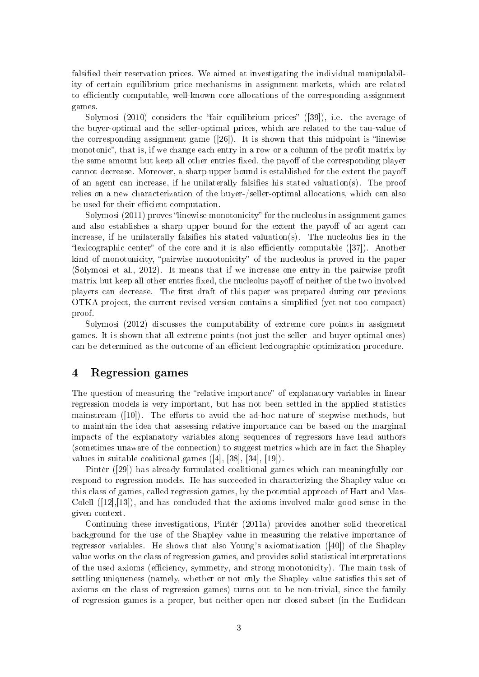falsified their reservation prices. We aimed at investigating the individual manipulability of certain equilibrium price mechanisms in assignment markets, which are related to efficiently computable, well-known core allocations of the corresponding assignment games.

Solymosi  $(2010)$  considers the "fair equilibrium prices"  $([39])$ , i.e. the average of the buyer-optimal and the seller-optimal prices, which are related to the tau-value of the corresponding assignment game  $(26)$ . It is shown that this midpoint is "linewise monotonic", that is, if we change each entry in a row or a column of the profit matrix by the same amount but keep all other entries fixed, the payoff of the corresponding player cannot decrease. Moreover, a sharp upper bound is established for the extent the payo of an agent can increase, if he unilaterally falsifies his stated valuation(s). The proof relies on a new characterization of the buyer-/seller-optimal allocations, which can also be used for their efficient computation.

Solymosi  $(2011)$  proves "linewise monotonicity" for the nucleolus in assignment games and also establishes a sharp upper bound for the extent the payoff of an agent can increase, if he unilaterally falsifies his stated valuation(s). The nucleolus lies in the "lexicographic center" of the core and it is also efficiently computable  $(37)$ . Another kind of monotonicity, "pairwise monotonicity" of the nucleolus is proved in the paper (Solymosi et al., 2012). It means that if we increase one entry in the pairwise profit matrix but keep all other entries fixed, the nucleolus payoff of neither of the two involved players can decrease. The first draft of this paper was prepared during our previous OTKA project, the current revised version contains a simplied (yet not too compact) proof.

Solymosi (2012) discusses the computability of extreme core points in assigment games. It is shown that all extreme points (not just the seller- and buyer-optimal ones) can be determined as the outcome of an efficient lexicographic optimization procedure.

#### 4 Regression games

The question of measuring the "relative importance" of explanatory variables in linear regression models is very important, but has not been settled in the applied statistics mainstream  $([10])$ . The efforts to avoid the ad-hoc nature of stepwise methods, but to maintain the idea that assessing relative importance can be based on the marginal impacts of the explanatory variables along sequences of regressors have lead authors (sometimes unaware of the connection) to suggest metrics which are in fact the Shapley values in suitable coalitional games ([4], [38], [34], [19]).

Pintér ([29]) has already formulated coalitional games which can meaningfully correspond to regression models. He has succeeded in characterizing the Shapley value on this class of games, called regression games, by the potential approach of Hart and Mas-Colell  $([12],[13])$ , and has concluded that the axioms involved make good sense in the given context.

Continuing these investigations, Pintér (2011a) provides another solid theoretical background for the use of the Shapley value in measuring the relative importance of regressor variables. He shows that also Young's axiomatization ([40]) of the Shapley value works on the class of regression games, and provides solid statistical interpretations of the used axioms (efficiency, symmetry, and strong monotonicity). The main task of settling uniqueness (namely, whether or not only the Shapley value satisfies this set of axioms on the class of regression games) turns out to be non-trivial, since the family of regression games is a proper, but neither open nor closed subset (in the Euclidean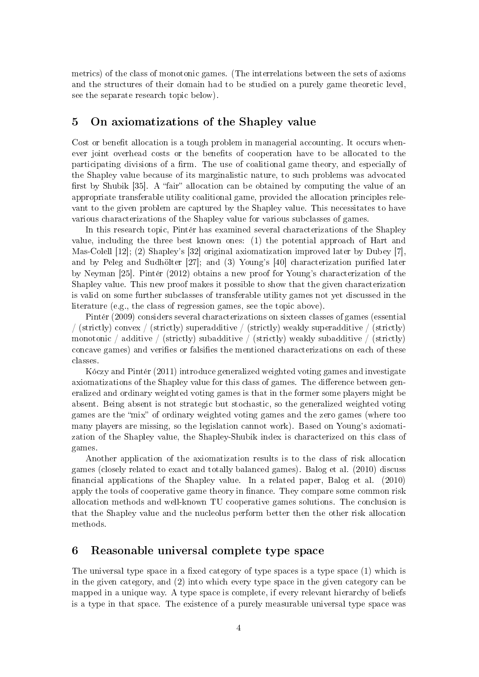metrics) of the class of monotonic games. (The interrelations between the sets of axioms and the structures of their domain had to be studied on a purely game theoretic level, see the separate research topic below).

# 5 On axiomatizations of the Shapley value

Cost or benefit allocation is a tough problem in managerial accounting. It occurs whenever joint overhead costs or the benefits of cooperation have to be allocated to the participating divisions of a firm. The use of coalitional game theory, and especially of the Shapley value because of its marginalistic nature, to such problems was advocated first by Shubik [35]. A "fair" allocation can be obtained by computing the value of an appropriate transferable utility coalitional game, provided the allocation principles relevant to the given problem are captured by the Shapley value. This necessitates to have various characterizations of the Shapley value for various subclasses of games.

In this research topic, Pintér has examined several characterizations of the Shapley value, including the three best known ones: (1) the potential approach of Hart and Mas-Colell [12]; (2) Shapley's [32] original axiomatization improved later by Dubey [7], and by Peleg and Sudhölter [27]; and (3) Young's [40] characterization puried later by Neyman [25]. Pintér (2012) obtains a new proof for Young's characterization of the Shapley value. This new proof makes it possible to show that the given characterization is valid on some further subclasses of transferable utility games not yet discussed in the literature (e.g., the class of regression games, see the topic above).

Pintér (2009) considers several characterizations on sixteen classes of games (essential / (strictly) convex / (strictly) superadditive / (strictly) weakly superadditive / (strictly) monotonic / additive / (strictly) subadditive / (strictly) weakly subadditive / (strictly) concave games) and verifies or falsifies the mentioned characterizations on each of these classes.

Kóczy and Pintér (2011) introduce generalized weighted voting games and investigate axiomatizations of the Shapley value for this class of games. The difference between generalized and ordinary weighted voting games is that in the former some players might be absent. Being absent is not strategic but stochastic, so the generalized weighted voting games are the "mix" of ordinary weighted voting games and the zero games (where too many players are missing, so the legislation cannot work). Based on Young's axiomatization of the Shapley value, the Shapley-Shubik index is characterized on this class of games

Another application of the axiomatization results is to the class of risk allocation games (closely related to exact and totally balanced games). Balog et al. (2010) discuss nancial applications of the Shapley value. In a related paper, Balog et al. (2010) apply the tools of cooperative game theory in finance. They compare some common risk allocation methods and well-known TU cooperative games solutions. The conclusion is that the Shapley value and the nucleolus perform better then the other risk allocation methods.

#### 6 Reasonable universal complete type space

The universal type space in a fixed category of type spaces is a type space  $(1)$  which is in the given category, and (2) into which every type space in the given category can be mapped in a unique way. A type space is complete, if every relevant hierarchy of beliefs is a type in that space. The existence of a purely measurable universal type space was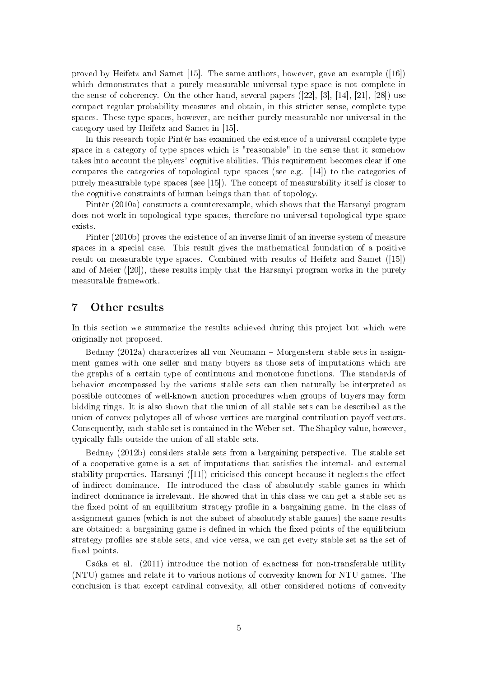proved by Heifetz and Samet [15]. The same authors, however, gave an example ([16]) which demonstrates that a purely measurable universal type space is not complete in the sense of coherency. On the other hand, several papers  $([22], [3], [14], [21], [28])$  use compact regular probability measures and obtain, in this stricter sense, complete type spaces. These type spaces, however, are neither purely measurable nor universal in the category used by Heifetz and Samet in [15].

In this research topic Pintér has examined the existence of a universal complete type space in a category of type spaces which is "reasonable" in the sense that it somehow takes into account the players' cognitive abilities. This requirement becomes clear if one compares the categories of topological type spaces (see e.g. [14]) to the categories of purely measurable type spaces (see [15]). The concept of measurability itself is closer to the cognitive constraints of human beings than that of topology.

Pintér (2010a) constructs a counterexample, which shows that the Harsanyi program does not work in topological type spaces, therefore no universal topological type space exists.

Pintér (2010b) proves the existence of an inverse limit of an inverse system of measure spaces in a special case. This result gives the mathematical foundation of a positive result on measurable type spaces. Combined with results of Heifetz and Samet ([15]) and of Meier ([20]), these results imply that the Harsanyi program works in the purely measurable framework.

#### 7 Other results

In this section we summarize the results achieved during this project but which were originally not proposed.

Bednay (2012a) characterizes all von Neumann – Morgenstern stable sets in assignment games with one seller and many buyers as those sets of imputations which are the graphs of a certain type of continuous and monotone functions. The standards of behavior encompassed by the various stable sets can then naturally be interpreted as possible outcomes of well-known auction procedures when groups of buyers may form bidding rings. It is also shown that the union of all stable sets can be described as the union of convex polytopes all of whose vertices are marginal contribution payoff vectors. Consequently, each stable set is contained in the Weber set. The Shapley value, however, typically falls outside the union of all stable sets.

Bednay (2012b) considers stable sets from a bargaining perspective. The stable set of a cooperative game is a set of imputations that satisfies the internal- and external stability properties. Harsanyi  $([11])$  criticised this concept because it neglects the effect of indirect dominance. He introduced the class of absolutely stable games in which indirect dominance is irrelevant. He showed that in this class we can get a stable set as the fixed point of an equilibrium strategy profile in a bargaining game. In the class of assignment games (which is not the subset of absolutely stable games) the same results are obtained: a bargaining game is defined in which the fixed points of the equilibrium strategy profiles are stable sets, and vice versa, we can get every stable set as the set of xed points.

Csóka et al. (2011) introduce the notion of exactness for non-transferable utility (NTU) games and relate it to various notions of convexity known for NTU games. The conclusion is that except cardinal convexity, all other considered notions of convexity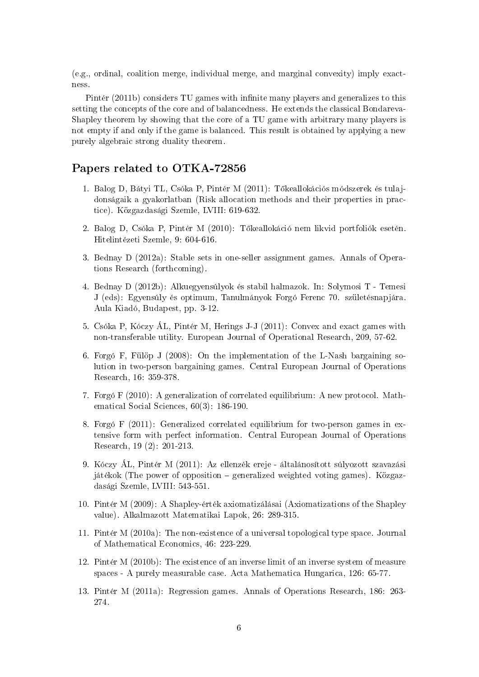(e.g., ordinal, coalition merge, individual merge, and marginal convexity) imply exactness.

Pintér (2011b) considers TU games with infinite many players and generalizes to this setting the concepts of the core and of balancedness. He extends the classical Bondareva-Shapley theorem by showing that the core of a TU game with arbitrary many players is not empty if and only if the game is balanced. This result is obtained by applying a new purely algebraic strong duality theorem.

## Papers related to OTKA-72856

- 1. Balog D, Bátyi TL, Csóka P, Pintér M (2011): Tőkeallokációs módszerek és tulajdonságaik a gyakorlatban (Risk allocation methods and their properties in practice). Közgazdasági Szemle, LVIII: 619-632.
- 2. Balog D, Csóka P, Pintér M (2010): Tőkeallokáció nem likvid portfoliók esetén. Hitelintézeti Szemle, 9: 604-616.
- 3. Bednay D (2012a): Stable sets in one-seller assignment games. Annals of Operations Research (forthcoming).
- 4. Bednay D (2012b): Alkuegyensúlyok és stabil halmazok. In: Solymosi T Temesi J (eds): Egyensúly és optimum, Tanulmányok Forgó Ferenc 70. születésnapjára. Aula Kiadó, Budapest, pp. 3-12.
- 5. Csóka P, Kóczy ÁL, Pintér M, Herings J-J (2011): Convex and exact games with non-transferable utility. European Journal of Operational Research, 209, 57-62.
- 6. Forgó F, Fülöp J (2008): On the implementation of the L-Nash bargaining solution in two-person bargaining games. Central European Journal of Operations Research, 16: 359-378.
- 7. Forgó F (2010): A generalization of correlated equilibrium: A new protocol. Mathematical Social Sciences, 60(3): 186-190.
- 8. Forgó F (2011): Generalized correlated equilibrium for two-person games in extensive form with perfect information. Central European Journal of Operations Research, 19 (2): 201-213.
- 9. Kóczy ÁL, Pintér M (2011): Az ellenzék ereje általánosított súlyozott szavazási játékok (The power of opposition generalized weighted voting games). Közgazdasági Szemle, LVIII: 543-551.
- 10. Pintér M (2009): A Shapley-érték axiomatizálásai (Axiomatizations of the Shapley value). Alkalmazott Matematikai Lapok, 26: 289-315.
- 11. Pintér M (2010a): The non-existence of a universal topological type space. Journal of Mathematical Economics, 46: 223-229.
- 12. Pintér M (2010b): The existence of an inverse limit of an inverse system of measure spaces - A purely measurable case. Acta Mathematica Hungarica, 126: 65-77.
- 13. Pintér M (2011a): Regression games. Annals of Operations Research, 186: 263- 274.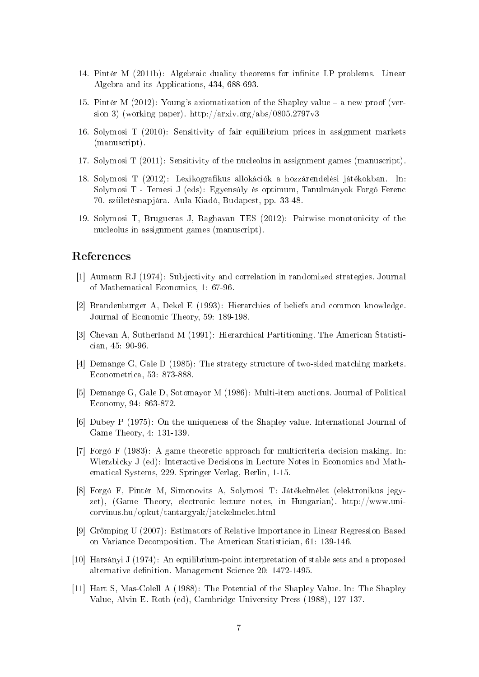- 14. Pintér M (2011b): Algebraic duality theorems for infinite LP problems. Linear Algebra and its Applications, 434, 688-693.
- 15. Pintér M (2012): Young's axiomatization of the Shapley value a new proof (version 3) (working paper). http://arxiv.org/abs/0805.2797v3
- 16. Solymosi T (2010): Sensitivity of fair equilibrium prices in assignment markets (manuscript).
- 17. Solymosi T (2011): Sensitivity of the nucleolus in assignment games (manuscript).
- 18. Solymosi T (2012): Lexikograkus allokációk a hozzárendelési játékokban. In: Solymosi T - Temesi J (eds): Egyensúly és optimum, Tanulmányok Forgó Ferenc 70. születésnapjára. Aula Kiadó, Budapest, pp. 33-48.
- 19. Solymosi T, Brugueras J, Raghavan TES (2012): Pairwise monotonicity of the nucleolus in assignment games (manuscript).

#### References

- [1] Aumann RJ (1974): Subjectivity and correlation in randomized strategies. Journal of Mathematical Economics, 1: 67-96.
- [2] Brandenburger A, Dekel E (1993): Hierarchies of beliefs and common knowledge. Journal of Economic Theory, 59: 189-198.
- [3] Chevan A, Sutherland M (1991): Hierarchical Partitioning. The American Statistician, 45: 90-96.
- [4] Demange G, Gale D (1985): The strategy structure of two-sided matching markets. Econometrica, 53: 873-888.
- [5] Demange G, Gale D, Sotomayor M (1986): Multi-item auctions. Journal of Political Economy, 94: 863-872.
- [6] Dubey P (1975): On the uniqueness of the Shapley value. International Journal of Game Theory, 4: 131-139.
- [7] Forgó F (1983): A game theoretic approach for multicriteria decision making. In: Wierzbicky J (ed): Interactive Decisions in Lecture Notes in Economics and Mathematical Systems, 229. Springer Verlag, Berlin, 1-15.
- [8] Forgó F, Pintér M, Simonovits A, Solymosi T: Játékelmélet (elektronikus jegyzet), (Game Theory, electronic lecture notes, in Hungarian). http://www.unicorvinus.hu/opkut/tantargyak/jatekelmelet.html
- [9] Grömping U (2007): Estimators of Relative Importance in Linear Regression Based on Variance Decomposition. The American Statistician, 61: 139-146.
- [10] Harsányi J (1974): An equilibrium-point interpretation of stable sets and a proposed alternative definition. Management Science 20: 1472-1495.
- [11] Hart S, Mas-Colell A (1988): The Potential of the Shapley Value. In: The Shapley Value, Alvin E. Roth (ed), Cambridge University Press (1988), 127-137.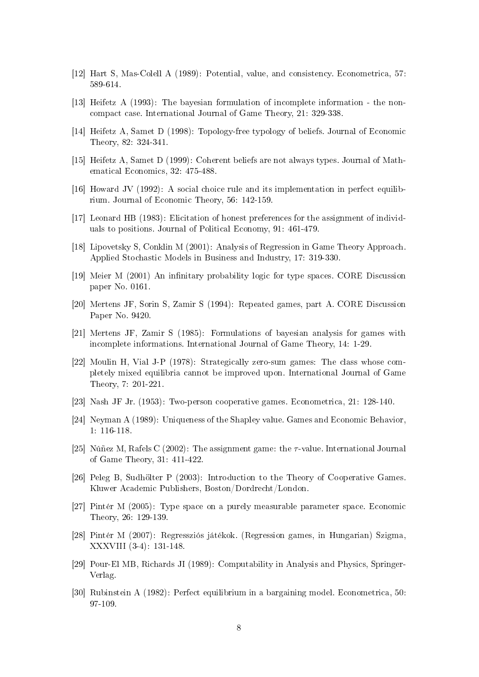- [12] Hart S, Mas-Colell A (1989): Potential, value, and consistency. Econometrica, 57: 589-614.
- [13] Heifetz A (1993): The bayesian formulation of incomplete information the noncompact case. International Journal of Game Theory, 21: 329-338.
- [14] Heifetz A, Samet D (1998): Topology-free typology of beliefs. Journal of Economic Theory, 82: 324-341.
- [15] Heifetz A, Samet D (1999): Coherent beliefs are not always types. Journal of Mathematical Economics, 32: 475-488.
- [16] Howard JV (1992): A social choice rule and its implementation in perfect equilibrium. Journal of Economic Theory, 56: 142-159.
- [17] Leonard HB (1983): Elicitation of honest preferences for the assignment of individuals to positions. Journal of Political Economy, 91: 461-479.
- [18] Lipovetsky S, Conklin M (2001): Analysis of Regression in Game Theory Approach. Applied Stochastic Models in Business and Industry, 17: 319-330.
- [19] Meier M (2001) An innitary probability logic for type spaces. CORE Discussion paper No. 0161.
- [20] Mertens JF, Sorin S, Zamir S (1994): Repeated games, part A. CORE Discussion Paper No. 9420.
- [21] Mertens JF, Zamir S (1985): Formulations of bayesian analysis for games with incomplete informations. International Journal of Game Theory, 14: 1-29.
- [22] Moulin H, Vial J-P (1978): Strategically zero-sum games: The class whose completely mixed equilibria cannot be improved upon. International Journal of Game Theory, 7: 201-221.
- [23] Nash JF Jr. (1953): Two-person cooperative games. Econometrica, 21: 128-140.
- [24] Neyman A (1989): Uniqueness of the Shapley value. Games and Economic Behavior, 1: 116-118.
- [25] Núñez M, Rafels C (2002): The assignment game: the  $\tau$ -value. International Journal of Game Theory, 31: 411-422.
- [26] Peleg B, Sudhölter P (2003): Introduction to the Theory of Cooperative Games. Kluwer Academic Publishers, Boston/Dordrecht/London.
- [27] Pintér M (2005): Type space on a purely measurable parameter space. Economic Theory, 26: 129-139.
- [28] Pintér M (2007): Regressziós játékok. (Regression games, in Hungarian) Szigma, XXXVIII (3-4): 131-148.
- [29] Pour-El MB, Richards JI (1989): Computability in Analysis and Physics, Springer-Verlag.
- [30] Rubinstein A (1982): Perfect equilibrium in a bargaining model. Econometrica, 50: 97-109.